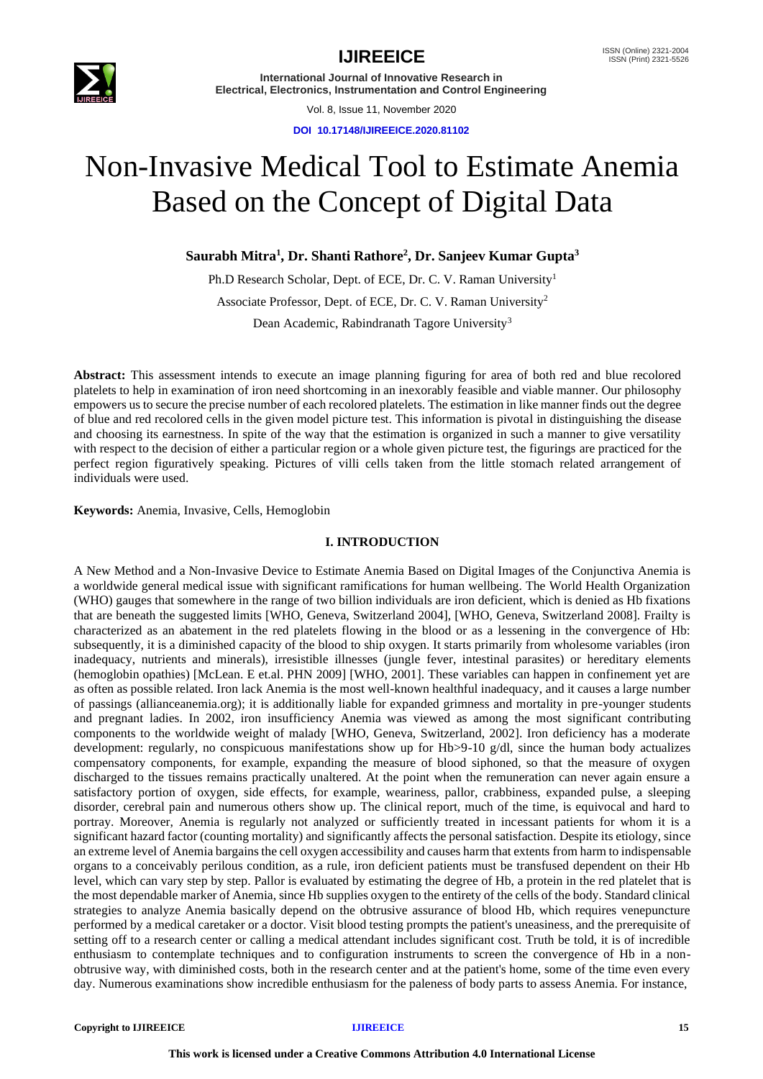

Vol. 8, Issue 11, November 2020

**DOI 10.17148/IJIREEICE.2020.81102**

# Non-Invasive Medical Tool to Estimate Anemia Based on the Concept of Digital Data

**Saurabh Mitra<sup>1</sup> , Dr. Shanti Rathore<sup>2</sup> , Dr. Sanjeev Kumar Gupta<sup>3</sup>**

Ph.D Research Scholar, Dept. of ECE, Dr. C. V. Raman University<sup>1</sup> Associate Professor, Dept. of ECE, Dr. C. V. Raman University<sup>2</sup> Dean Academic, Rabindranath Tagore University<sup>3</sup>

**Abstract:** This assessment intends to execute an image planning figuring for area of both red and blue recolored platelets to help in examination of iron need shortcoming in an inexorably feasible and viable manner. Our philosophy empowers us to secure the precise number of each recolored platelets. The estimation in like manner finds out the degree of blue and red recolored cells in the given model picture test. This information is pivotal in distinguishing the disease and choosing its earnestness. In spite of the way that the estimation is organized in such a manner to give versatility with respect to the decision of either a particular region or a whole given picture test, the figurings are practiced for the perfect region figuratively speaking. Pictures of villi cells taken from the little stomach related arrangement of individuals were used.

**Keywords:** Anemia, Invasive, Cells, Hemoglobin

### **I. INTRODUCTION**

A New Method and a Non-Invasive Device to Estimate Anemia Based on Digital Images of the Conjunctiva Anemia is a worldwide general medical issue with significant ramifications for human wellbeing. The World Health Organization (WHO) gauges that somewhere in the range of two billion individuals are iron deficient, which is denied as Hb fixations that are beneath the suggested limits [WHO, Geneva, Switzerland 2004], [WHO, Geneva, Switzerland 2008]. Frailty is characterized as an abatement in the red platelets flowing in the blood or as a lessening in the convergence of Hb: subsequently, it is a diminished capacity of the blood to ship oxygen. It starts primarily from wholesome variables (iron inadequacy, nutrients and minerals), irresistible illnesses (jungle fever, intestinal parasites) or hereditary elements (hemoglobin opathies) [McLean. E et.al. PHN 2009] [WHO, 2001]. These variables can happen in confinement yet are as often as possible related. Iron lack Anemia is the most well-known healthful inadequacy, and it causes a large number of passings (allianceanemia.org); it is additionally liable for expanded grimness and mortality in pre-younger students and pregnant ladies. In 2002, iron insufficiency Anemia was viewed as among the most significant contributing components to the worldwide weight of malady [WHO, Geneva, Switzerland, 2002]. Iron deficiency has a moderate development: regularly, no conspicuous manifestations show up for Hb>9-10 g/dl, since the human body actualizes compensatory components, for example, expanding the measure of blood siphoned, so that the measure of oxygen discharged to the tissues remains practically unaltered. At the point when the remuneration can never again ensure a satisfactory portion of oxygen, side effects, for example, weariness, pallor, crabbiness, expanded pulse, a sleeping disorder, cerebral pain and numerous others show up. The clinical report, much of the time, is equivocal and hard to portray. Moreover, Anemia is regularly not analyzed or sufficiently treated in incessant patients for whom it is a significant hazard factor (counting mortality) and significantly affects the personal satisfaction. Despite its etiology, since an extreme level of Anemia bargains the cell oxygen accessibility and causes harm that extents from harm to indispensable organs to a conceivably perilous condition, as a rule, iron deficient patients must be transfused dependent on their Hb level, which can vary step by step. Pallor is evaluated by estimating the degree of Hb, a protein in the red platelet that is the most dependable marker of Anemia, since Hb supplies oxygen to the entirety of the cells of the body. Standard clinical strategies to analyze Anemia basically depend on the obtrusive assurance of blood Hb, which requires venepuncture performed by a medical caretaker or a doctor. Visit blood testing prompts the patient's uneasiness, and the prerequisite of setting off to a research center or calling a medical attendant includes significant cost. Truth be told, it is of incredible enthusiasm to contemplate techniques and to configuration instruments to screen the convergence of Hb in a nonobtrusive way, with diminished costs, both in the research center and at the patient's home, some of the time even every day. Numerous examinations show incredible enthusiasm for the paleness of body parts to assess Anemia. For instance,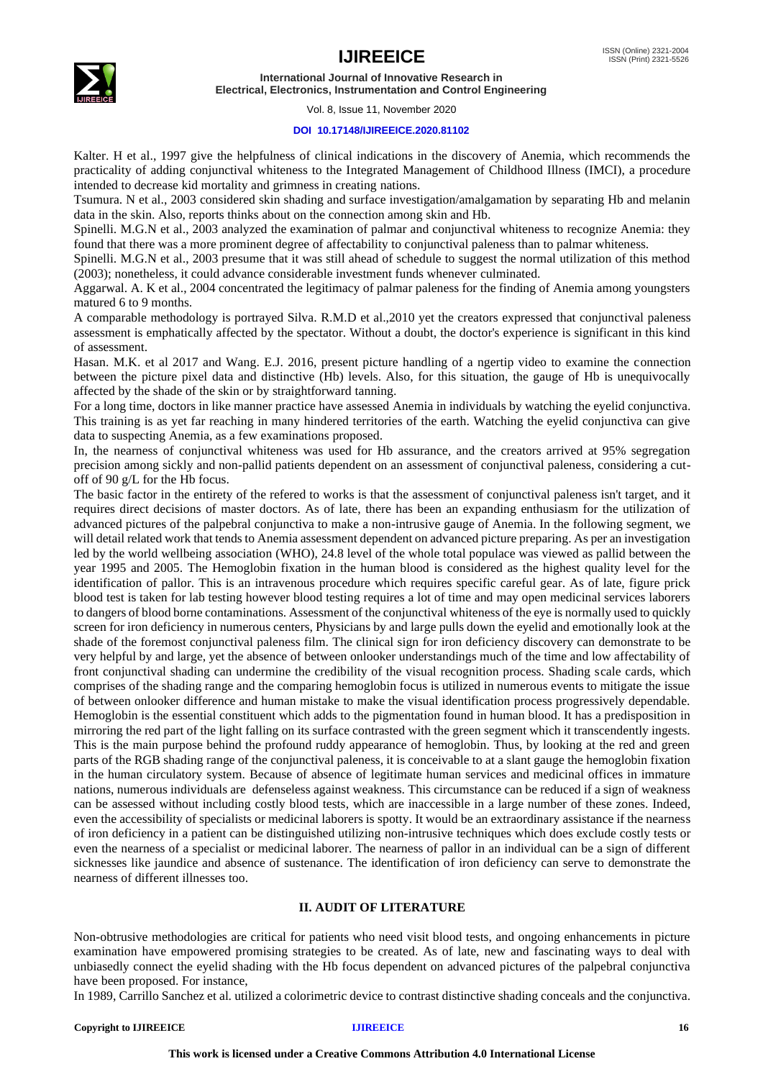## **IJIREEICE** ISSN (Online) 2321-2004



**International Journal of Innovative Research in Electrical, Electronics, Instrumentation and Control Engineering**

#### Vol. 8, Issue 11, November 2020

### **DOI 10.17148/IJIREEICE.2020.81102**

Kalter. H et al., 1997 give the helpfulness of clinical indications in the discovery of Anemia, which recommends the practicality of adding conjunctival whiteness to the Integrated Management of Childhood Illness (IMCI), a procedure intended to decrease kid mortality and grimness in creating nations.

Tsumura. N et al., 2003 considered skin shading and surface investigation/amalgamation by separating Hb and melanin data in the skin. Also, reports thinks about on the connection among skin and Hb.

Spinelli. M.G.N et al., 2003 analyzed the examination of palmar and conjunctival whiteness to recognize Anemia: they found that there was a more prominent degree of affectability to conjunctival paleness than to palmar whiteness.

Spinelli. M.G.N et al., 2003 presume that it was still ahead of schedule to suggest the normal utilization of this method (2003); nonetheless, it could advance considerable investment funds whenever culminated.

Aggarwal. A. K et al., 2004 concentrated the legitimacy of palmar paleness for the finding of Anemia among youngsters matured 6 to 9 months.

A comparable methodology is portrayed Silva. R.M.D et al.,2010 yet the creators expressed that conjunctival paleness assessment is emphatically affected by the spectator. Without a doubt, the doctor's experience is significant in this kind of assessment.

Hasan. M.K. et al 2017 and Wang. E.J. 2016, present picture handling of a ngertip video to examine the connection between the picture pixel data and distinctive (Hb) levels. Also, for this situation, the gauge of Hb is unequivocally affected by the shade of the skin or by straightforward tanning.

For a long time, doctors in like manner practice have assessed Anemia in individuals by watching the eyelid conjunctiva. This training is as yet far reaching in many hindered territories of the earth. Watching the eyelid conjunctiva can give data to suspecting Anemia, as a few examinations proposed.

In, the nearness of conjunctival whiteness was used for Hb assurance, and the creators arrived at 95% segregation precision among sickly and non-pallid patients dependent on an assessment of conjunctival paleness, considering a cutoff of 90 g/L for the Hb focus.

The basic factor in the entirety of the refered to works is that the assessment of conjunctival paleness isn't target, and it requires direct decisions of master doctors. As of late, there has been an expanding enthusiasm for the utilization of advanced pictures of the palpebral conjunctiva to make a non-intrusive gauge of Anemia. In the following segment, we will detail related work that tends to Anemia assessment dependent on advanced picture preparing. As per an investigation led by the world wellbeing association (WHO), 24.8 level of the whole total populace was viewed as pallid between the year 1995 and 2005. The Hemoglobin fixation in the human blood is considered as the highest quality level for the identification of pallor. This is an intravenous procedure which requires specific careful gear. As of late, figure prick blood test is taken for lab testing however blood testing requires a lot of time and may open medicinal services laborers to dangers of blood borne contaminations. Assessment of the conjunctival whiteness of the eye is normally used to quickly screen for iron deficiency in numerous centers, Physicians by and large pulls down the eyelid and emotionally look at the shade of the foremost conjunctival paleness film. The clinical sign for iron deficiency discovery can demonstrate to be very helpful by and large, yet the absence of between onlooker understandings much of the time and low affectability of front conjunctival shading can undermine the credibility of the visual recognition process. Shading scale cards, which comprises of the shading range and the comparing hemoglobin focus is utilized in numerous events to mitigate the issue of between onlooker difference and human mistake to make the visual identification process progressively dependable. Hemoglobin is the essential constituent which adds to the pigmentation found in human blood. It has a predisposition in mirroring the red part of the light falling on its surface contrasted with the green segment which it transcendently ingests. This is the main purpose behind the profound ruddy appearance of hemoglobin. Thus, by looking at the red and green parts of the RGB shading range of the conjunctival paleness, it is conceivable to at a slant gauge the hemoglobin fixation in the human circulatory system. Because of absence of legitimate human services and medicinal offices in immature nations, numerous individuals are defenseless against weakness. This circumstance can be reduced if a sign of weakness can be assessed without including costly blood tests, which are inaccessible in a large number of these zones. Indeed, even the accessibility of specialists or medicinal laborers is spotty. It would be an extraordinary assistance if the nearness of iron deficiency in a patient can be distinguished utilizing non-intrusive techniques which does exclude costly tests or even the nearness of a specialist or medicinal laborer. The nearness of pallor in an individual can be a sign of different sicknesses like jaundice and absence of sustenance. The identification of iron deficiency can serve to demonstrate the nearness of different illnesses too.

### **II. AUDIT OF LITERATURE**

Non-obtrusive methodologies are critical for patients who need visit blood tests, and ongoing enhancements in picture examination have empowered promising strategies to be created. As of late, new and fascinating ways to deal with unbiasedly connect the eyelid shading with the Hb focus dependent on advanced pictures of the palpebral conjunctiva have been proposed. For instance,

In 1989, Carrillo Sanchez et al. utilized a colorimetric device to contrast distinctive shading conceals and the conjunctiva.

#### **Copyright to IJIREEICE [IJIREEICE](https://ijireeice.com/) 16**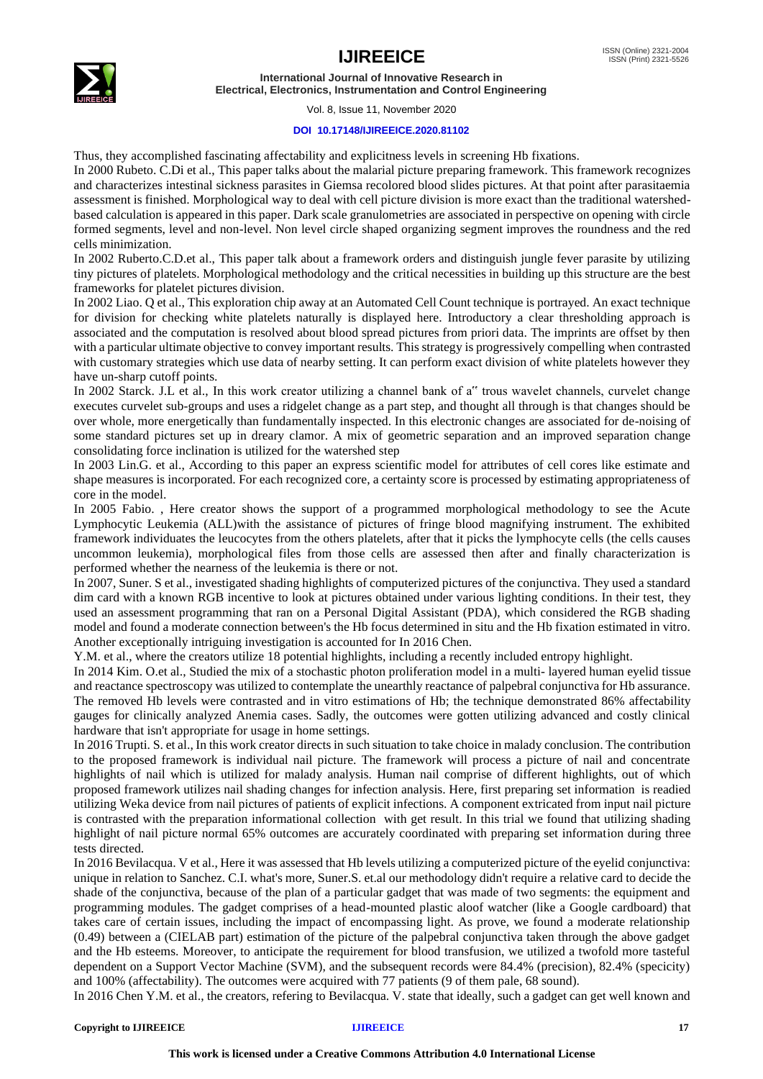

Vol. 8, Issue 11, November 2020

### **DOI 10.17148/IJIREEICE.2020.81102**

Thus, they accomplished fascinating affectability and explicitness levels in screening Hb fixations.

In 2000 Rubeto. C.Di et al., This paper talks about the malarial picture preparing framework. This framework recognizes and characterizes intestinal sickness parasites in Giemsa recolored blood slides pictures. At that point after parasitaemia assessment is finished. Morphological way to deal with cell picture division is more exact than the traditional watershedbased calculation is appeared in this paper. Dark scale granulometries are associated in perspective on opening with circle formed segments, level and non-level. Non level circle shaped organizing segment improves the roundness and the red cells minimization.

In 2002 Ruberto.C.D.et al., This paper talk about a framework orders and distinguish jungle fever parasite by utilizing tiny pictures of platelets. Morphological methodology and the critical necessities in building up this structure are the best frameworks for platelet pictures division.

In 2002 Liao. Q et al., This exploration chip away at an Automated Cell Count technique is portrayed. An exact technique for division for checking white platelets naturally is displayed here. Introductory a clear thresholding approach is associated and the computation is resolved about blood spread pictures from priori data. The imprints are offset by then with a particular ultimate objective to convey important results. This strategy is progressively compelling when contrasted with customary strategies which use data of nearby setting. It can perform exact division of white platelets however they have un-sharp cutoff points.

In 2002 Starck. J.L et al., In this work creator utilizing a channel bank of a" trous wavelet channels, curvelet change executes curvelet sub-groups and uses a ridgelet change as a part step, and thought all through is that changes should be over whole, more energetically than fundamentally inspected. In this electronic changes are associated for de-noising of some standard pictures set up in dreary clamor. A mix of geometric separation and an improved separation change consolidating force inclination is utilized for the watershed step

In 2003 Lin.G. et al., According to this paper an express scientific model for attributes of cell cores like estimate and shape measures is incorporated. For each recognized core, a certainty score is processed by estimating appropriateness of core in the model.

In 2005 Fabio. , Here creator shows the support of a programmed morphological methodology to see the Acute Lymphocytic Leukemia (ALL)with the assistance of pictures of fringe blood magnifying instrument. The exhibited framework individuates the leucocytes from the others platelets, after that it picks the lymphocyte cells (the cells causes uncommon leukemia), morphological files from those cells are assessed then after and finally characterization is performed whether the nearness of the leukemia is there or not.

In 2007, Suner. S et al., investigated shading highlights of computerized pictures of the conjunctiva. They used a standard dim card with a known RGB incentive to look at pictures obtained under various lighting conditions. In their test, they used an assessment programming that ran on a Personal Digital Assistant (PDA), which considered the RGB shading model and found a moderate connection between's the Hb focus determined in situ and the Hb fixation estimated in vitro. Another exceptionally intriguing investigation is accounted for In 2016 Chen.

Y.M. et al., where the creators utilize 18 potential highlights, including a recently included entropy highlight.

In 2014 Kim. O.et al., Studied the mix of a stochastic photon proliferation model in a multi- layered human eyelid tissue and reactance spectroscopy was utilized to contemplate the unearthly reactance of palpebral conjunctiva for Hb assurance. The removed Hb levels were contrasted and in vitro estimations of Hb; the technique demonstrated 86% affectability gauges for clinically analyzed Anemia cases. Sadly, the outcomes were gotten utilizing advanced and costly clinical hardware that isn't appropriate for usage in home settings.

In 2016 Trupti. S. et al., In this work creator directs in such situation to take choice in malady conclusion. The contribution to the proposed framework is individual nail picture. The framework will process a picture of nail and concentrate highlights of nail which is utilized for malady analysis. Human nail comprise of different highlights, out of which proposed framework utilizes nail shading changes for infection analysis. Here, first preparing set information is readied utilizing Weka device from nail pictures of patients of explicit infections. A component extricated from input nail picture is contrasted with the preparation informational collection with get result. In this trial we found that utilizing shading highlight of nail picture normal 65% outcomes are accurately coordinated with preparing set information during three tests directed.

In 2016 Bevilacqua. V et al., Here it was assessed that Hb levels utilizing a computerized picture of the eyelid conjunctiva: unique in relation to Sanchez. C.I. what's more, Suner.S. et.al our methodology didn't require a relative card to decide the shade of the conjunctiva, because of the plan of a particular gadget that was made of two segments: the equipment and programming modules. The gadget comprises of a head-mounted plastic aloof watcher (like a Google cardboard) that takes care of certain issues, including the impact of encompassing light. As prove, we found a moderate relationship (0.49) between a (CIELAB part) estimation of the picture of the palpebral conjunctiva taken through the above gadget and the Hb esteems. Moreover, to anticipate the requirement for blood transfusion, we utilized a twofold more tasteful dependent on a Support Vector Machine (SVM), and the subsequent records were 84.4% (precision), 82.4% (specicity) and 100% (affectability). The outcomes were acquired with 77 patients (9 of them pale, 68 sound).

In 2016 Chen Y.M. et al., the creators, refering to Bevilacqua. V. state that ideally, such a gadget can get well known and

#### **Copyright to IJIREEICE [IJIREEICE](https://ijireeice.com/) 17**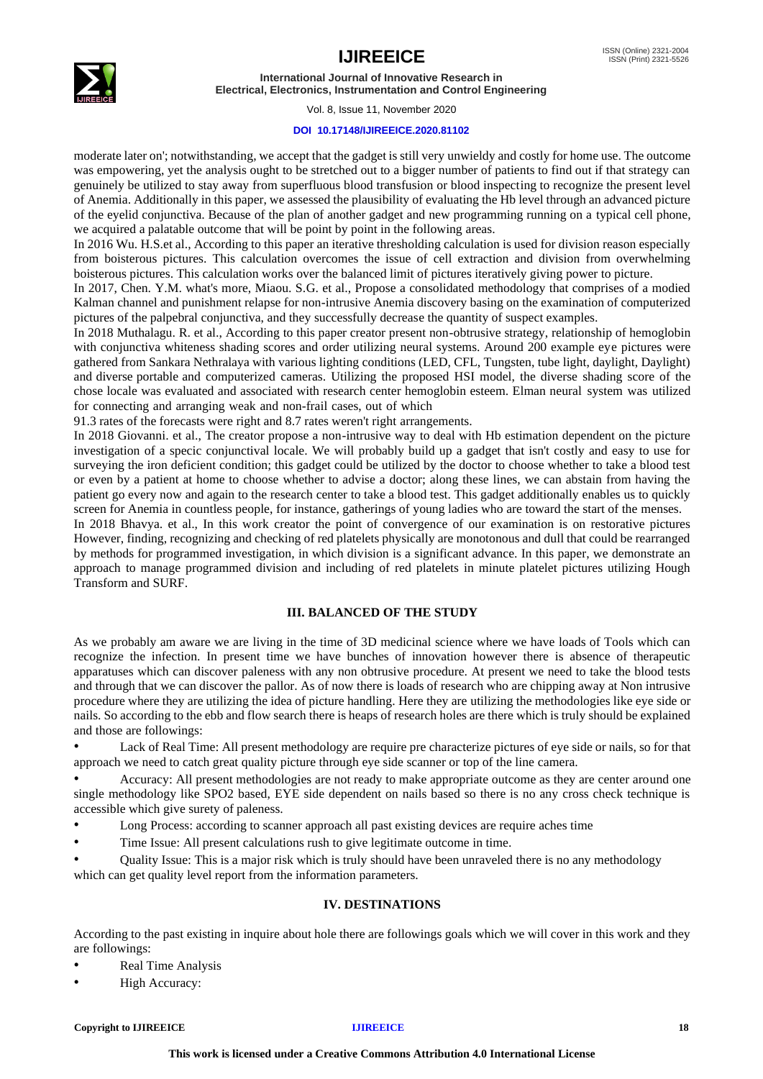



#### Vol. 8, Issue 11, November 2020

### **DOI 10.17148/IJIREEICE.2020.81102**

moderate later on'; notwithstanding, we accept that the gadget is still very unwieldy and costly for home use. The outcome was empowering, yet the analysis ought to be stretched out to a bigger number of patients to find out if that strategy can genuinely be utilized to stay away from superfluous blood transfusion or blood inspecting to recognize the present level of Anemia. Additionally in this paper, we assessed the plausibility of evaluating the Hb level through an advanced picture of the eyelid conjunctiva. Because of the plan of another gadget and new programming running on a typical cell phone, we acquired a palatable outcome that will be point by point in the following areas.

In 2016 Wu. H.S.et al., According to this paper an iterative thresholding calculation is used for division reason especially from boisterous pictures. This calculation overcomes the issue of cell extraction and division from overwhelming boisterous pictures. This calculation works over the balanced limit of pictures iteratively giving power to picture.

In 2017, Chen. Y.M. what's more, Miaou. S.G. et al., Propose a consolidated methodology that comprises of a modied Kalman channel and punishment relapse for non-intrusive Anemia discovery basing on the examination of computerized pictures of the palpebral conjunctiva, and they successfully decrease the quantity of suspect examples.

In 2018 Muthalagu. R. et al., According to this paper creator present non-obtrusive strategy, relationship of hemoglobin with conjunctiva whiteness shading scores and order utilizing neural systems. Around 200 example eye pictures were gathered from Sankara Nethralaya with various lighting conditions (LED, CFL, Tungsten, tube light, daylight, Daylight) and diverse portable and computerized cameras. Utilizing the proposed HSI model, the diverse shading score of the chose locale was evaluated and associated with research center hemoglobin esteem. Elman neural system was utilized for connecting and arranging weak and non-frail cases, out of which

91.3 rates of the forecasts were right and 8.7 rates weren't right arrangements.

In 2018 Giovanni. et al., The creator propose a non-intrusive way to deal with Hb estimation dependent on the picture investigation of a specic conjunctival locale. We will probably build up a gadget that isn't costly and easy to use for surveying the iron deficient condition; this gadget could be utilized by the doctor to choose whether to take a blood test or even by a patient at home to choose whether to advise a doctor; along these lines, we can abstain from having the patient go every now and again to the research center to take a blood test. This gadget additionally enables us to quickly screen for Anemia in countless people, for instance, gatherings of young ladies who are toward the start of the menses.

In 2018 Bhavya. et al., In this work creator the point of convergence of our examination is on restorative pictures However, finding, recognizing and checking of red platelets physically are monotonous and dull that could be rearranged by methods for programmed investigation, in which division is a significant advance. In this paper, we demonstrate an approach to manage programmed division and including of red platelets in minute platelet pictures utilizing Hough Transform and SURF.

### **III. BALANCED OF THE STUDY**

As we probably am aware we are living in the time of 3D medicinal science where we have loads of Tools which can recognize the infection. In present time we have bunches of innovation however there is absence of therapeutic apparatuses which can discover paleness with any non obtrusive procedure. At present we need to take the blood tests and through that we can discover the pallor. As of now there is loads of research who are chipping away at Non intrusive procedure where they are utilizing the idea of picture handling. Here they are utilizing the methodologies like eye side or nails. So according to the ebb and flow search there is heaps of research holes are there which is truly should be explained and those are followings:

• Lack of Real Time: All present methodology are require pre characterize pictures of eye side or nails, so for that approach we need to catch great quality picture through eye side scanner or top of the line camera.

• Accuracy: All present methodologies are not ready to make appropriate outcome as they are center around one single methodology like SPO2 based, EYE side dependent on nails based so there is no any cross check technique is accessible which give surety of paleness.

- Long Process: according to scanner approach all past existing devices are require aches time
- Time Issue: All present calculations rush to give legitimate outcome in time.

• Quality Issue: This is a major risk which is truly should have been unraveled there is no any methodology which can get quality level report from the information parameters.

### **IV. DESTINATIONS**

According to the past existing in inquire about hole there are followings goals which we will cover in this work and they are followings:

- Real Time Analysis
- High Accuracy: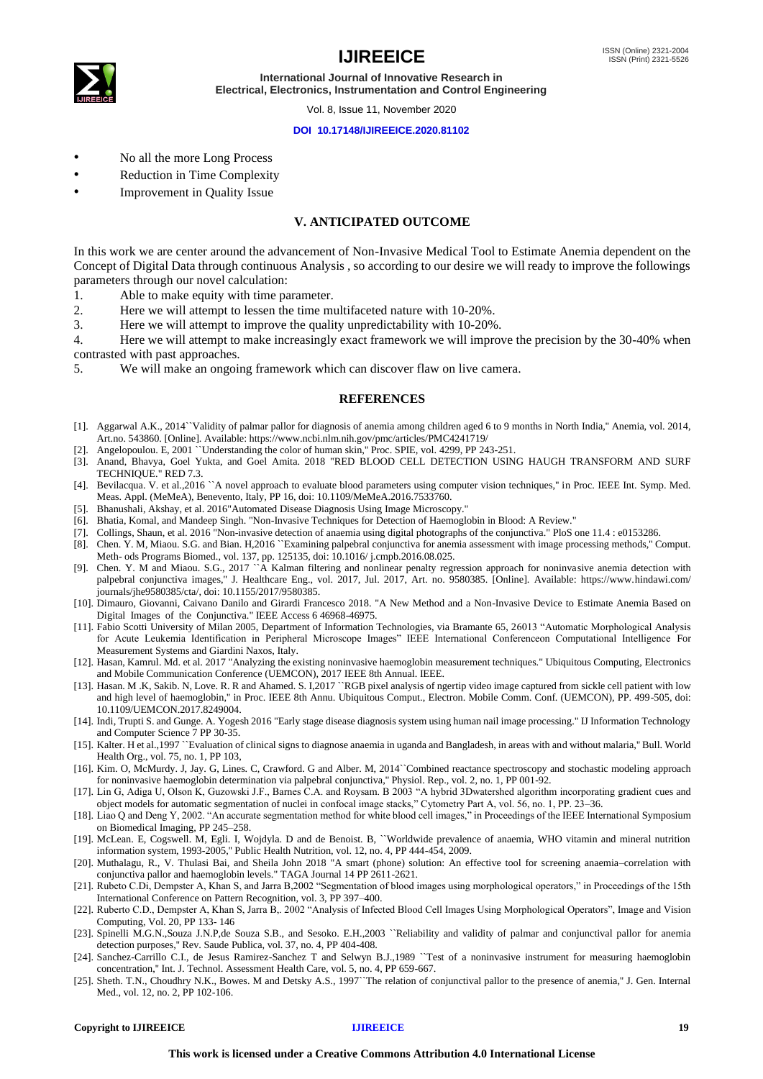

Vol. 8, Issue 11, November 2020

#### **DOI 10.17148/IJIREEICE.2020.81102**

- No all the more Long Process
- Reduction in Time Complexity
- Improvement in Quality Issue

### **V. ANTICIPATED OUTCOME**

In this work we are center around the advancement of Non-Invasive Medical Tool to Estimate Anemia dependent on the Concept of Digital Data through continuous Analysis , so according to our desire we will ready to improve the followings parameters through our novel calculation:

- 1. Able to make equity with time parameter.
- 2. Here we will attempt to lessen the time multifaceted nature with 10-20%.
- 3. Here we will attempt to improve the quality unpredictability with 10-20%.

4. Here we will attempt to make increasingly exact framework we will improve the precision by the 30-40% when contrasted with past approaches.

5. We will make an ongoing framework which can discover flaw on live camera.

### **REFERENCES**

- [1]. Aggarwal A.K., 2014``Validity of palmar pallor for diagnosis of anemia among children aged 6 to 9 months in North India,'' Anemia, vol. 2014, Art.no. 543860. [Online]. Available: https://www.ncbi.nlm.nih.gov/pmc/articles/PMC4241719/
- [2]. Angelopoulou. E, 2001 ``Understanding the color of human skin,'' Proc. SPIE, vol. 4299, PP 243-251.
- [3]. Anand, Bhavya, Goel Yukta, and Goel Amita. 2018 "RED BLOOD CELL DETECTION USING HAUGH TRANSFORM AND SURF TECHNIQUE." RED 7.3.
- [4]. Bevilacqua. V. et al.,2016 ``A novel approach to evaluate blood parameters using computer vision techniques,'' in Proc. IEEE Int. Symp. Med. Meas. Appl. (MeMeA), Benevento, Italy, PP 16, doi: 10.1109/MeMeA.2016.7533760.
- [5]. Bhanushali, Akshay, et al. 2016"Automated Disease Diagnosis Using Image Microscopy."
- [6]. Bhatia, Komal, and Mandeep Singh. "Non-Invasive Techniques for Detection of Haemoglobin in Blood: A Review."
- [7]. Collings, Shaun, et al. 2016 "Non-invasive detection of anaemia using digital photographs of the conjunctiva." PloS one 11.4 : e0153286.
- [8]. Chen. Y. M, Miaou. S.G. and Bian. H,2016 ``Examining palpebral conjunctiva for anemia assessment with image processing methods," Comput. Meth- ods Programs Biomed., vol. 137, pp. 125135, doi: 10.1016/ j.cmpb.2016.08.025.
- [9]. Chen. Y. M and Miaou. S.G., 2017 ``A Kalman filtering and nonlinear penalty regression approach for noninvasive anemia detection with palpebral conjunctiva images,'' J. Healthcare Eng., vol. 2017, Jul. 2017, Art. no. 9580385. [Online]. Available: https://www.hindawi.com/ journals/jhe9580385/cta/, doi: 10.1155/2017/9580385.
- [10]. Dimauro, Giovanni, Caivano Danilo and Girardi Francesco 2018. "A New Method and a Non-Invasive Device to Estimate Anemia Based on Digital Images of the Conjunctiva." IEEE Access 6 46968-46975.
- [11]. Fabio Scotti University of Milan 2005, Department of Information Technologies, via Bramante 65, 26013 "Automatic Morphological Analysis for Acute Leukemia Identification in Peripheral Microscope Images" IEEE International Conferenceon Computational Intelligence For Measurement Systems and Giardini Naxos, Italy.
- [12]. Hasan, Kamrul. Md. et al. 2017 "Analyzing the existing noninvasive haemoglobin measurement techniques." Ubiquitous Computing, Electronics and Mobile Communication Conference (UEMCON), 2017 IEEE 8th Annual. IEEE.
- [13]. Hasan. M .K, Sakib. N, Love. R. R and Ahamed. S. I,2017 "RGB pixel analysis of ngertip video image captured from sickle cell patient with low and high level of haemoglobin,'' in Proc. IEEE 8th Annu. Ubiquitous Comput., Electron. Mobile Comm. Conf. (UEMCON), PP. 499-505, doi: 10.1109/UEMCON.2017.8249004.
- [14]. Indi, Trupti S. and Gunge. A. Yogesh 2016 "Early stage disease diagnosis system using human nail image processing." IJ Information Technology and Computer Science 7 PP 30-35.
- [15]. Kalter. H et al.,1997 ``Evaluation of clinical signs to diagnose anaemia in uganda and Bangladesh, in areas with and without malaria,'' Bull. World Health Org., vol. 75, no. 1, PP 103,
- [16]. Kim. O, McMurdy. J, Jay. G, Lines. C, Crawford. G and Alber. M, 2014``Combined reactance spectroscopy and stochastic modeling approach for noninvasive haemoglobin determination via palpebral conjunctiva,'' Physiol. Rep., vol. 2, no. 1, PP 001-92.
- [17]. Lin G, Adiga U, Olson K, Guzowski J.F., Barnes C.A. and Roysam. B 2003 "A hybrid 3Dwatershed algorithm incorporating gradient cues and object models for automatic segmentation of nuclei in confocal image stacks," Cytometry Part A, vol. 56, no. 1, PP. 23–36.
- [18]. Liao Q and Deng Y, 2002. "An accurate segmentation method for white blood cell images," in Proceedings of the IEEE International Symposium on Biomedical Imaging, PP 245–258.
- [19]. McLean. E, Cogswell. M, Egli. I, Wojdyla. D and de Benoist. B, ``Worldwide prevalence of anaemia, WHO vitamin and mineral nutrition information system, 1993-2005,'' Public Health Nutrition, vol. 12, no. 4, PP 444-454, 2009.
- [20]. Muthalagu, R., V. Thulasi Bai, and Sheila John 2018 "A smart (phone) solution: An effective tool for screening anaemia–correlation with conjunctiva pallor and haemoglobin levels." TAGA Journal 14 PP 2611-2621.
- [21]. Rubeto C.Di, Dempster A, Khan S, and Jarra B,2002 "Segmentation of blood images using morphological operators," in Proceedings of the 15th International Conference on Pattern Recognition, vol. 3, PP 397–400.
- [22]. Ruberto C.D., Dempster A, Khan S, Jarra B,. 2002 "Analysis of Infected Blood Cell Images Using Morphological Operators", Image and Vision Computing, Vol. 20, PP 133- 146
- [23]. Spinelli M.G.N.,Souza J.N.P,de Souza S.B., and Sesoko. E.H.,2003 "Reliability and validity of palmar and conjunctival pallor for anemia detection purposes,'' Rev. Saude Publica, vol. 37, no. 4, PP 404-408.
- [24]. Sanchez-Carrillo C.I., de Jesus Ramirez-Sanchez T and Selwyn B.J.,1989 ``Test of a noninvasive instrument for measuring haemoglobin concentration,'' Int. J. Technol. Assessment Health Care, vol. 5, no. 4, PP 659-667.
- [25]. Sheth. T.N., Choudhry N.K., Bowes. M and Detsky A.S., 1997``The relation of conjunctival pallor to the presence of anemia,'' J. Gen. Internal Med., vol. 12, no. 2, PP 102-106.